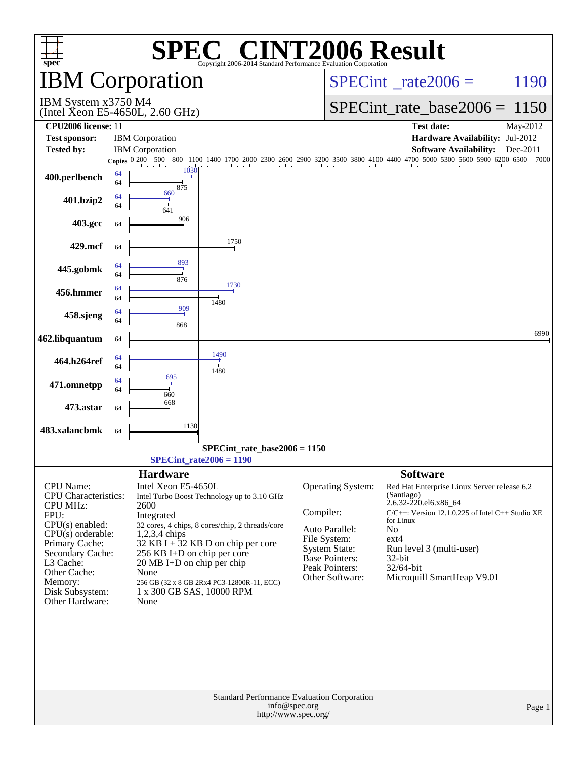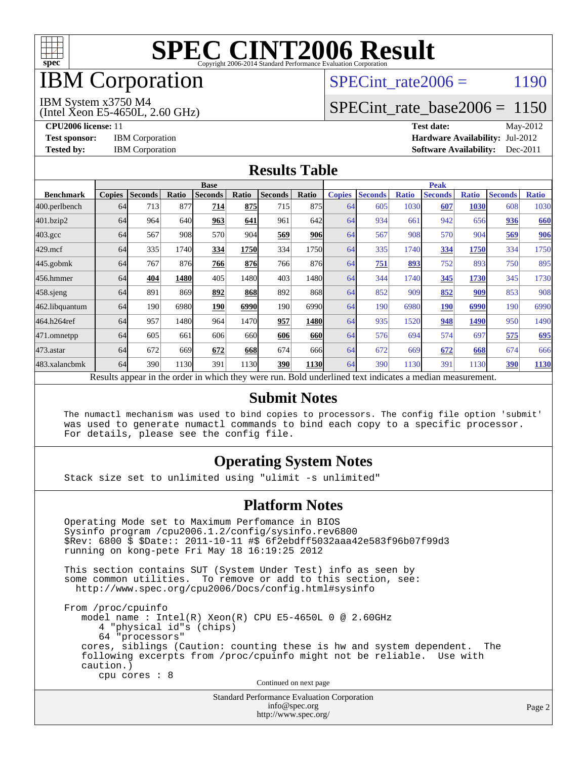

## IBM Corporation

#### SPECint rate  $2006 = 1190$

IBM System x3750 M4

(Intel Xeon E5-4650L, 2.60 GHz)

[SPECint\\_rate\\_base2006 =](http://www.spec.org/auto/cpu2006/Docs/result-fields.html#SPECintratebase2006) 1150

**[CPU2006 license:](http://www.spec.org/auto/cpu2006/Docs/result-fields.html#CPU2006license)** 11 **[Test date:](http://www.spec.org/auto/cpu2006/Docs/result-fields.html#Testdate)** May-2012 **[Test sponsor:](http://www.spec.org/auto/cpu2006/Docs/result-fields.html#Testsponsor)** IBM Corporation **[Hardware Availability:](http://www.spec.org/auto/cpu2006/Docs/result-fields.html#HardwareAvailability)** Jul-2012 **[Tested by:](http://www.spec.org/auto/cpu2006/Docs/result-fields.html#Testedby)** IBM Corporation **[Software Availability:](http://www.spec.org/auto/cpu2006/Docs/result-fields.html#SoftwareAvailability)** Dec-2011

#### **[Results Table](http://www.spec.org/auto/cpu2006/Docs/result-fields.html#ResultsTable)**

|                    | <b>Base</b>   |                |       |                                                                                                          |       |                |             | <b>Peak</b>   |                |              |                |              |                |              |
|--------------------|---------------|----------------|-------|----------------------------------------------------------------------------------------------------------|-------|----------------|-------------|---------------|----------------|--------------|----------------|--------------|----------------|--------------|
| <b>Benchmark</b>   | <b>Copies</b> | <b>Seconds</b> | Ratio | <b>Seconds</b>                                                                                           | Ratio | <b>Seconds</b> | Ratio       | <b>Copies</b> | <b>Seconds</b> | <b>Ratio</b> | <b>Seconds</b> | <b>Ratio</b> | <b>Seconds</b> | <b>Ratio</b> |
| 400.perlbench      | 64            | 713            | 877   | 714                                                                                                      | 875   | 715            | 875         | 64            | 605            | 1030         | 607            | 1030         | 608            | 1030         |
| 401.bzip2          | 64            | 964            | 640   | 963                                                                                                      | 641   | 961            | 642         | 64            | 934            | 661          | 942            | 656          | 936            | 660          |
| $403.\mathrm{gcc}$ | 64            | 567            | 908   | 570                                                                                                      | 904   | 569            | 906         | 64            | 567            | 908          | 570            | 904          | 569            | 906          |
| $429$ .mcf         | 64            | 335            | 1740  | 334                                                                                                      | 1750  | 334            | 1750        | 64            | 335            | 1740         | 334            | 1750         | 334            | 1750         |
| $445$ .gobmk       | 64            | 767            | 876   | 766                                                                                                      | 876   | 766            | 876         | 64            | 751            | 893          | 752            | 893          | 750            | 895          |
| 456.hmmer          | 64            | 404            | 1480  | 405                                                                                                      | 1480  | 403            | 1480l       | 64            | 344            | 1740         | 345            | 1730         | 345            | 1730         |
| 458 sjeng          | 64            | 891            | 869   | 892                                                                                                      | 868   | 892            | 868         | 64            | 852            | 909          | 852            | 909          | 853            | 908          |
| 462.libquantum     | 64            | 190            | 6980  | 190                                                                                                      | 6990  | 190            | 6990        | 64            | 190            | 6980         | <b>190</b>     | 6990         | 190            | 6990         |
| 464.h264ref        | 64            | 957            | 1480  | 964                                                                                                      | 1470  | 957            | <b>1480</b> | 64            | 935            | 1520         | 948            | 1490         | 950            | 1490         |
| 471.omnetpp        | 64            | 605            | 661   | 606                                                                                                      | 660   | 606            | 660         | 64            | 576            | 694          | 574            | 697          | 575            | 695          |
| $473$ . astar      | 64            | 672            | 669   | 672                                                                                                      | 668   | 674            | 666         | 64            | 672            | 669          | 672            | 668          | 674            | 666          |
| 483.xalancbmk      | 64            | 390            | 1130  | 391                                                                                                      | 1130  | 390            | <b>1130</b> | 64            | 390            | 1130         | 391            | 1130         | 390            | 1130         |
|                    |               |                |       | Results appear in the order in which they were run. Bold underlined text indicates a median measurement. |       |                |             |               |                |              |                |              |                |              |

#### **[Submit Notes](http://www.spec.org/auto/cpu2006/Docs/result-fields.html#SubmitNotes)**

 The numactl mechanism was used to bind copies to processors. The config file option 'submit' was used to generate numactl commands to bind each copy to a specific processor. For details, please see the config file.

#### **[Operating System Notes](http://www.spec.org/auto/cpu2006/Docs/result-fields.html#OperatingSystemNotes)**

Stack size set to unlimited using "ulimit -s unlimited"

#### **[Platform Notes](http://www.spec.org/auto/cpu2006/Docs/result-fields.html#PlatformNotes)**

Standard Performance Evaluation Corporation Operating Mode set to Maximum Perfomance in BIOS Sysinfo program /cpu2006.1.2/config/sysinfo.rev6800 \$Rev: 6800 \$ \$Date:: 2011-10-11 #\$ 6f2ebdff5032aaa42e583f96b07f99d3 running on kong-pete Fri May 18 16:19:25 2012 This section contains SUT (System Under Test) info as seen by some common utilities. To remove or add to this section, see: <http://www.spec.org/cpu2006/Docs/config.html#sysinfo> From /proc/cpuinfo model name : Intel(R) Xeon(R) CPU E5-4650L 0 @ 2.60GHz 4 "physical id"s (chips) 64 "processors" cores, siblings (Caution: counting these is hw and system dependent. The following excerpts from /proc/cpuinfo might not be reliable. Use with caution.) cpu cores : 8 Continued on next page

> [info@spec.org](mailto:info@spec.org) <http://www.spec.org/>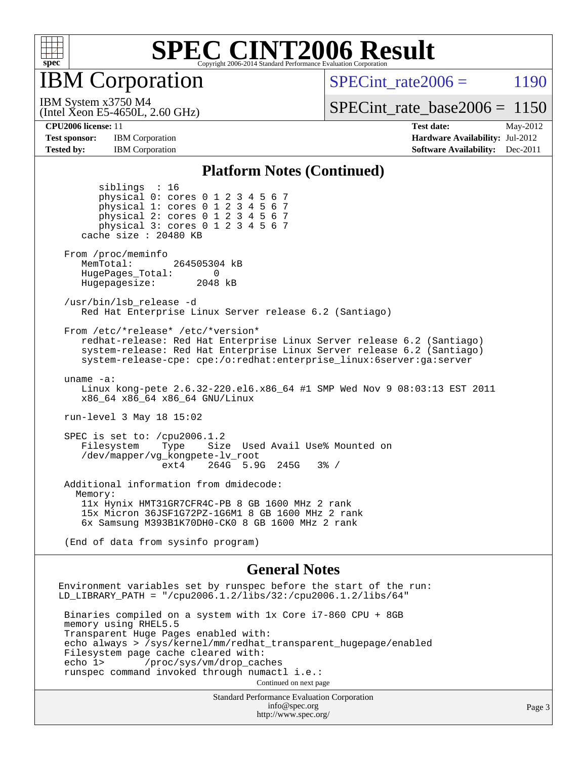

IBM Corporation

SPECint rate  $2006 = 1190$ 

(Intel Xeon E5-4650L, 2.60 GHz) IBM System x3750 M4

[SPECint\\_rate\\_base2006 =](http://www.spec.org/auto/cpu2006/Docs/result-fields.html#SPECintratebase2006) 1150

**[Test sponsor:](http://www.spec.org/auto/cpu2006/Docs/result-fields.html#Testsponsor)** IBM Corporation **[Hardware Availability:](http://www.spec.org/auto/cpu2006/Docs/result-fields.html#HardwareAvailability)** Jul-2012 **[Tested by:](http://www.spec.org/auto/cpu2006/Docs/result-fields.html#Testedby)** IBM Corporation **IBM** Corporation **[Software Availability:](http://www.spec.org/auto/cpu2006/Docs/result-fields.html#SoftwareAvailability)** Dec-2011

siblings : 16

**[CPU2006 license:](http://www.spec.org/auto/cpu2006/Docs/result-fields.html#CPU2006license)** 11 **[Test date:](http://www.spec.org/auto/cpu2006/Docs/result-fields.html#Testdate)** May-2012

#### **[Platform Notes \(Continued\)](http://www.spec.org/auto/cpu2006/Docs/result-fields.html#PlatformNotes)**

Standard Performance Evaluation Corporation [info@spec.org](mailto:info@spec.org) physical 0: cores 0 1 2 3 4 5 6 7 physical 1: cores 0 1 2 3 4 5 6 7 physical 2: cores 0 1 2 3 4 5 6 7 physical 3: cores 0 1 2 3 4 5 6 7 cache size : 20480 KB From /proc/meminfo MemTotal: 264505304 kB HugePages\_Total: 0<br>Hugepagesize: 2048 kB Hugepagesize: /usr/bin/lsb\_release -d Red Hat Enterprise Linux Server release 6.2 (Santiago) From /etc/\*release\* /etc/\*version\* redhat-release: Red Hat Enterprise Linux Server release 6.2 (Santiago) system-release: Red Hat Enterprise Linux Server release 6.2 (Santiago) system-release-cpe: cpe:/o:redhat:enterprise\_linux:6server:ga:server uname -a: Linux kong-pete 2.6.32-220.el6.x86\_64 #1 SMP Wed Nov 9 08:03:13 EST 2011 x86\_64 x86\_64 x86\_64 GNU/Linux run-level 3 May 18 15:02 SPEC is set to: /cpu2006.1.2 Filesystem Type Size Used Avail Use% Mounted on /dev/mapper/vg\_kongpete-lv\_root ext4 264G 5.9G 245G 3% / Additional information from dmidecode: Memory: 11x Hynix HMT31GR7CFR4C-PB 8 GB 1600 MHz 2 rank 15x Micron 36JSF1G72PZ-1G6M1 8 GB 1600 MHz 2 rank 6x Samsung M393B1K70DH0-CK0 8 GB 1600 MHz 2 rank (End of data from sysinfo program) **[General Notes](http://www.spec.org/auto/cpu2006/Docs/result-fields.html#GeneralNotes)** Environment variables set by runspec before the start of the run: LD\_LIBRARY\_PATH = "/cpu2006.1.2/libs/32:/cpu2006.1.2/libs/64" Binaries compiled on a system with 1x Core i7-860 CPU + 8GB memory using RHEL5.5 Transparent Huge Pages enabled with: echo always > /sys/kernel/mm/redhat\_transparent\_hugepage/enabled Filesystem page cache cleared with:<br>echo 1> /proc/sys/vm/drop cac /proc/sys/vm/drop\_caches runspec command invoked through numactl i.e.: Continued on next page

<http://www.spec.org/>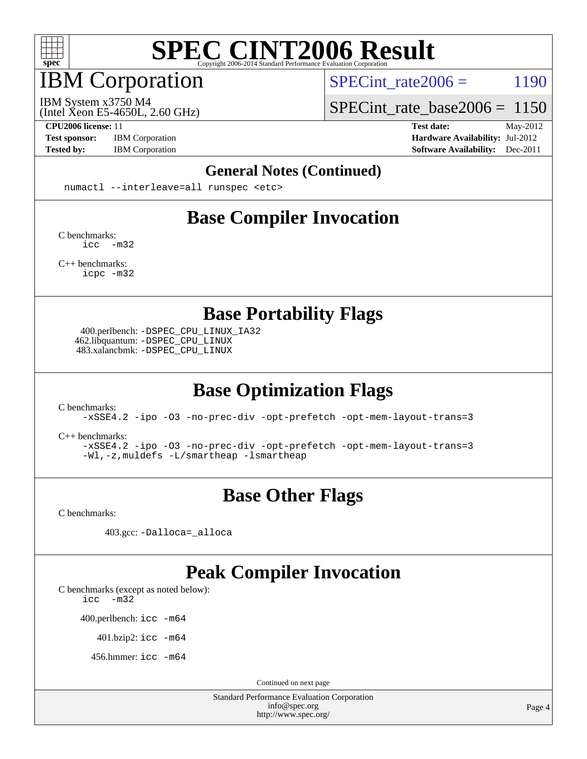

## IBM Corporation

SPECint rate $2006 = 1190$ 

(Intel Xeon E5-4650L, 2.60 GHz) IBM System x3750 M4

[SPECint\\_rate\\_base2006 =](http://www.spec.org/auto/cpu2006/Docs/result-fields.html#SPECintratebase2006) 1150

**[Test sponsor:](http://www.spec.org/auto/cpu2006/Docs/result-fields.html#Testsponsor)** IBM Corporation **[Hardware Availability:](http://www.spec.org/auto/cpu2006/Docs/result-fields.html#HardwareAvailability)** Jul-2012

**[CPU2006 license:](http://www.spec.org/auto/cpu2006/Docs/result-fields.html#CPU2006license)** 11 **[Test date:](http://www.spec.org/auto/cpu2006/Docs/result-fields.html#Testdate)** May-2012 **[Tested by:](http://www.spec.org/auto/cpu2006/Docs/result-fields.html#Testedby)** IBM Corporation **[Software Availability:](http://www.spec.org/auto/cpu2006/Docs/result-fields.html#SoftwareAvailability)** Dec-2011

#### **[General Notes \(Continued\)](http://www.spec.org/auto/cpu2006/Docs/result-fields.html#GeneralNotes)**

numactl --interleave=all runspec <etc>

### **[Base Compiler Invocation](http://www.spec.org/auto/cpu2006/Docs/result-fields.html#BaseCompilerInvocation)**

[C benchmarks](http://www.spec.org/auto/cpu2006/Docs/result-fields.html#Cbenchmarks): [icc -m32](http://www.spec.org/cpu2006/results/res2012q3/cpu2006-20120716-23768.flags.html#user_CCbase_intel_icc_5ff4a39e364c98233615fdd38438c6f2)

[C++ benchmarks:](http://www.spec.org/auto/cpu2006/Docs/result-fields.html#CXXbenchmarks) [icpc -m32](http://www.spec.org/cpu2006/results/res2012q3/cpu2006-20120716-23768.flags.html#user_CXXbase_intel_icpc_4e5a5ef1a53fd332b3c49e69c3330699)

**[Base Portability Flags](http://www.spec.org/auto/cpu2006/Docs/result-fields.html#BasePortabilityFlags)**

 400.perlbench: [-DSPEC\\_CPU\\_LINUX\\_IA32](http://www.spec.org/cpu2006/results/res2012q3/cpu2006-20120716-23768.flags.html#b400.perlbench_baseCPORTABILITY_DSPEC_CPU_LINUX_IA32) 462.libquantum: [-DSPEC\\_CPU\\_LINUX](http://www.spec.org/cpu2006/results/res2012q3/cpu2006-20120716-23768.flags.html#b462.libquantum_baseCPORTABILITY_DSPEC_CPU_LINUX) 483.xalancbmk: [-DSPEC\\_CPU\\_LINUX](http://www.spec.org/cpu2006/results/res2012q3/cpu2006-20120716-23768.flags.html#b483.xalancbmk_baseCXXPORTABILITY_DSPEC_CPU_LINUX)

### **[Base Optimization Flags](http://www.spec.org/auto/cpu2006/Docs/result-fields.html#BaseOptimizationFlags)**

[C benchmarks](http://www.spec.org/auto/cpu2006/Docs/result-fields.html#Cbenchmarks):

[-xSSE4.2](http://www.spec.org/cpu2006/results/res2012q3/cpu2006-20120716-23768.flags.html#user_CCbase_f-xSSE42_f91528193cf0b216347adb8b939d4107) [-ipo](http://www.spec.org/cpu2006/results/res2012q3/cpu2006-20120716-23768.flags.html#user_CCbase_f-ipo) [-O3](http://www.spec.org/cpu2006/results/res2012q3/cpu2006-20120716-23768.flags.html#user_CCbase_f-O3) [-no-prec-div](http://www.spec.org/cpu2006/results/res2012q3/cpu2006-20120716-23768.flags.html#user_CCbase_f-no-prec-div) [-opt-prefetch](http://www.spec.org/cpu2006/results/res2012q3/cpu2006-20120716-23768.flags.html#user_CCbase_f-opt-prefetch) [-opt-mem-layout-trans=3](http://www.spec.org/cpu2006/results/res2012q3/cpu2006-20120716-23768.flags.html#user_CCbase_f-opt-mem-layout-trans_a7b82ad4bd7abf52556d4961a2ae94d5)

[C++ benchmarks:](http://www.spec.org/auto/cpu2006/Docs/result-fields.html#CXXbenchmarks)

[-xSSE4.2](http://www.spec.org/cpu2006/results/res2012q3/cpu2006-20120716-23768.flags.html#user_CXXbase_f-xSSE42_f91528193cf0b216347adb8b939d4107) [-ipo](http://www.spec.org/cpu2006/results/res2012q3/cpu2006-20120716-23768.flags.html#user_CXXbase_f-ipo) [-O3](http://www.spec.org/cpu2006/results/res2012q3/cpu2006-20120716-23768.flags.html#user_CXXbase_f-O3) [-no-prec-div](http://www.spec.org/cpu2006/results/res2012q3/cpu2006-20120716-23768.flags.html#user_CXXbase_f-no-prec-div) [-opt-prefetch](http://www.spec.org/cpu2006/results/res2012q3/cpu2006-20120716-23768.flags.html#user_CXXbase_f-opt-prefetch) [-opt-mem-layout-trans=3](http://www.spec.org/cpu2006/results/res2012q3/cpu2006-20120716-23768.flags.html#user_CXXbase_f-opt-mem-layout-trans_a7b82ad4bd7abf52556d4961a2ae94d5) [-Wl,-z,muldefs](http://www.spec.org/cpu2006/results/res2012q3/cpu2006-20120716-23768.flags.html#user_CXXbase_link_force_multiple1_74079c344b956b9658436fd1b6dd3a8a) [-L/smartheap -lsmartheap](http://www.spec.org/cpu2006/results/res2012q3/cpu2006-20120716-23768.flags.html#user_CXXbase_SmartHeap_7c9e394a5779e1a7fec7c221e123830c)

### **[Base Other Flags](http://www.spec.org/auto/cpu2006/Docs/result-fields.html#BaseOtherFlags)**

[C benchmarks](http://www.spec.org/auto/cpu2006/Docs/result-fields.html#Cbenchmarks):

403.gcc: [-Dalloca=\\_alloca](http://www.spec.org/cpu2006/results/res2012q3/cpu2006-20120716-23768.flags.html#b403.gcc_baseEXTRA_CFLAGS_Dalloca_be3056838c12de2578596ca5467af7f3)

#### **[Peak Compiler Invocation](http://www.spec.org/auto/cpu2006/Docs/result-fields.html#PeakCompilerInvocation)**

[C benchmarks \(except as noted below\)](http://www.spec.org/auto/cpu2006/Docs/result-fields.html#Cbenchmarksexceptasnotedbelow):

[icc -m32](http://www.spec.org/cpu2006/results/res2012q3/cpu2006-20120716-23768.flags.html#user_CCpeak_intel_icc_5ff4a39e364c98233615fdd38438c6f2)

400.perlbench: [icc -m64](http://www.spec.org/cpu2006/results/res2012q3/cpu2006-20120716-23768.flags.html#user_peakCCLD400_perlbench_intel_icc_64bit_bda6cc9af1fdbb0edc3795bac97ada53)

401.bzip2: [icc -m64](http://www.spec.org/cpu2006/results/res2012q3/cpu2006-20120716-23768.flags.html#user_peakCCLD401_bzip2_intel_icc_64bit_bda6cc9af1fdbb0edc3795bac97ada53)

456.hmmer: [icc -m64](http://www.spec.org/cpu2006/results/res2012q3/cpu2006-20120716-23768.flags.html#user_peakCCLD456_hmmer_intel_icc_64bit_bda6cc9af1fdbb0edc3795bac97ada53)

Continued on next page

Standard Performance Evaluation Corporation [info@spec.org](mailto:info@spec.org) <http://www.spec.org/>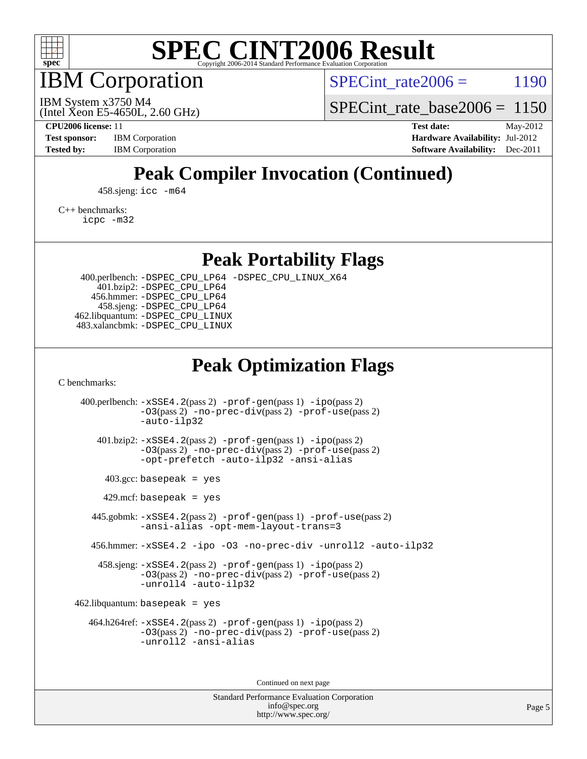

IBM Corporation

SPECint rate  $2006 = 1190$ 

(Intel Xeon E5-4650L, 2.60 GHz) IBM System x3750 M4

[SPECint\\_rate\\_base2006 =](http://www.spec.org/auto/cpu2006/Docs/result-fields.html#SPECintratebase2006) 1150

**[CPU2006 license:](http://www.spec.org/auto/cpu2006/Docs/result-fields.html#CPU2006license)** 11 **[Test date:](http://www.spec.org/auto/cpu2006/Docs/result-fields.html#Testdate)** May-2012 **[Test sponsor:](http://www.spec.org/auto/cpu2006/Docs/result-fields.html#Testsponsor)** IBM Corporation **[Hardware Availability:](http://www.spec.org/auto/cpu2006/Docs/result-fields.html#HardwareAvailability)** Jul-2012 **[Tested by:](http://www.spec.org/auto/cpu2006/Docs/result-fields.html#Testedby)** IBM Corporation **IBM** Corporation **[Software Availability:](http://www.spec.org/auto/cpu2006/Docs/result-fields.html#SoftwareAvailability)** Dec-2011

### **[Peak Compiler Invocation \(Continued\)](http://www.spec.org/auto/cpu2006/Docs/result-fields.html#PeakCompilerInvocation)**

458.sjeng: [icc -m64](http://www.spec.org/cpu2006/results/res2012q3/cpu2006-20120716-23768.flags.html#user_peakCCLD458_sjeng_intel_icc_64bit_bda6cc9af1fdbb0edc3795bac97ada53)

[C++ benchmarks:](http://www.spec.org/auto/cpu2006/Docs/result-fields.html#CXXbenchmarks) [icpc -m32](http://www.spec.org/cpu2006/results/res2012q3/cpu2006-20120716-23768.flags.html#user_CXXpeak_intel_icpc_4e5a5ef1a53fd332b3c49e69c3330699)

**[Peak Portability Flags](http://www.spec.org/auto/cpu2006/Docs/result-fields.html#PeakPortabilityFlags)**

 400.perlbench: [-DSPEC\\_CPU\\_LP64](http://www.spec.org/cpu2006/results/res2012q3/cpu2006-20120716-23768.flags.html#b400.perlbench_peakCPORTABILITY_DSPEC_CPU_LP64) [-DSPEC\\_CPU\\_LINUX\\_X64](http://www.spec.org/cpu2006/results/res2012q3/cpu2006-20120716-23768.flags.html#b400.perlbench_peakCPORTABILITY_DSPEC_CPU_LINUX_X64) 401.bzip2: [-DSPEC\\_CPU\\_LP64](http://www.spec.org/cpu2006/results/res2012q3/cpu2006-20120716-23768.flags.html#suite_peakCPORTABILITY401_bzip2_DSPEC_CPU_LP64) 456.hmmer: [-DSPEC\\_CPU\\_LP64](http://www.spec.org/cpu2006/results/res2012q3/cpu2006-20120716-23768.flags.html#suite_peakCPORTABILITY456_hmmer_DSPEC_CPU_LP64) 458.sjeng: [-DSPEC\\_CPU\\_LP64](http://www.spec.org/cpu2006/results/res2012q3/cpu2006-20120716-23768.flags.html#suite_peakCPORTABILITY458_sjeng_DSPEC_CPU_LP64) 462.libquantum: [-DSPEC\\_CPU\\_LINUX](http://www.spec.org/cpu2006/results/res2012q3/cpu2006-20120716-23768.flags.html#b462.libquantum_peakCPORTABILITY_DSPEC_CPU_LINUX) 483.xalancbmk: [-DSPEC\\_CPU\\_LINUX](http://www.spec.org/cpu2006/results/res2012q3/cpu2006-20120716-23768.flags.html#b483.xalancbmk_peakCXXPORTABILITY_DSPEC_CPU_LINUX)

#### **[Peak Optimization Flags](http://www.spec.org/auto/cpu2006/Docs/result-fields.html#PeakOptimizationFlags)**

[C benchmarks](http://www.spec.org/auto/cpu2006/Docs/result-fields.html#Cbenchmarks):

 400.perlbench: [-xSSE4.2](http://www.spec.org/cpu2006/results/res2012q3/cpu2006-20120716-23768.flags.html#user_peakPASS2_CFLAGSPASS2_LDCFLAGS400_perlbench_f-xSSE42_f91528193cf0b216347adb8b939d4107)(pass 2) [-prof-gen](http://www.spec.org/cpu2006/results/res2012q3/cpu2006-20120716-23768.flags.html#user_peakPASS1_CFLAGSPASS1_LDCFLAGS400_perlbench_prof_gen_e43856698f6ca7b7e442dfd80e94a8fc)(pass 1) [-ipo](http://www.spec.org/cpu2006/results/res2012q3/cpu2006-20120716-23768.flags.html#user_peakPASS2_CFLAGSPASS2_LDCFLAGS400_perlbench_f-ipo)(pass 2) [-O3](http://www.spec.org/cpu2006/results/res2012q3/cpu2006-20120716-23768.flags.html#user_peakPASS2_CFLAGSPASS2_LDCFLAGS400_perlbench_f-O3)(pass 2) [-no-prec-div](http://www.spec.org/cpu2006/results/res2012q3/cpu2006-20120716-23768.flags.html#user_peakPASS2_CFLAGSPASS2_LDCFLAGS400_perlbench_f-no-prec-div)(pass 2) [-prof-use](http://www.spec.org/cpu2006/results/res2012q3/cpu2006-20120716-23768.flags.html#user_peakPASS2_CFLAGSPASS2_LDCFLAGS400_perlbench_prof_use_bccf7792157ff70d64e32fe3e1250b55)(pass 2) [-auto-ilp32](http://www.spec.org/cpu2006/results/res2012q3/cpu2006-20120716-23768.flags.html#user_peakCOPTIMIZE400_perlbench_f-auto-ilp32) 401.bzip2: [-xSSE4.2](http://www.spec.org/cpu2006/results/res2012q3/cpu2006-20120716-23768.flags.html#user_peakPASS2_CFLAGSPASS2_LDCFLAGS401_bzip2_f-xSSE42_f91528193cf0b216347adb8b939d4107)(pass 2) [-prof-gen](http://www.spec.org/cpu2006/results/res2012q3/cpu2006-20120716-23768.flags.html#user_peakPASS1_CFLAGSPASS1_LDCFLAGS401_bzip2_prof_gen_e43856698f6ca7b7e442dfd80e94a8fc)(pass 1) [-ipo](http://www.spec.org/cpu2006/results/res2012q3/cpu2006-20120716-23768.flags.html#user_peakPASS2_CFLAGSPASS2_LDCFLAGS401_bzip2_f-ipo)(pass 2) [-O3](http://www.spec.org/cpu2006/results/res2012q3/cpu2006-20120716-23768.flags.html#user_peakPASS2_CFLAGSPASS2_LDCFLAGS401_bzip2_f-O3)(pass 2) [-no-prec-div](http://www.spec.org/cpu2006/results/res2012q3/cpu2006-20120716-23768.flags.html#user_peakPASS2_CFLAGSPASS2_LDCFLAGS401_bzip2_f-no-prec-div)(pass 2) [-prof-use](http://www.spec.org/cpu2006/results/res2012q3/cpu2006-20120716-23768.flags.html#user_peakPASS2_CFLAGSPASS2_LDCFLAGS401_bzip2_prof_use_bccf7792157ff70d64e32fe3e1250b55)(pass 2) [-opt-prefetch](http://www.spec.org/cpu2006/results/res2012q3/cpu2006-20120716-23768.flags.html#user_peakCOPTIMIZE401_bzip2_f-opt-prefetch) [-auto-ilp32](http://www.spec.org/cpu2006/results/res2012q3/cpu2006-20120716-23768.flags.html#user_peakCOPTIMIZE401_bzip2_f-auto-ilp32) [-ansi-alias](http://www.spec.org/cpu2006/results/res2012q3/cpu2006-20120716-23768.flags.html#user_peakCOPTIMIZE401_bzip2_f-ansi-alias)  $403.\text{gcc: basepeak}$  = yes  $429$ .mcf: basepeak = yes 445.gobmk: [-xSSE4.2](http://www.spec.org/cpu2006/results/res2012q3/cpu2006-20120716-23768.flags.html#user_peakPASS2_CFLAGSPASS2_LDCFLAGS445_gobmk_f-xSSE42_f91528193cf0b216347adb8b939d4107)(pass 2) [-prof-gen](http://www.spec.org/cpu2006/results/res2012q3/cpu2006-20120716-23768.flags.html#user_peakPASS1_CFLAGSPASS1_LDCFLAGS445_gobmk_prof_gen_e43856698f6ca7b7e442dfd80e94a8fc)(pass 1) [-prof-use](http://www.spec.org/cpu2006/results/res2012q3/cpu2006-20120716-23768.flags.html#user_peakPASS2_CFLAGSPASS2_LDCFLAGS445_gobmk_prof_use_bccf7792157ff70d64e32fe3e1250b55)(pass 2) [-ansi-alias](http://www.spec.org/cpu2006/results/res2012q3/cpu2006-20120716-23768.flags.html#user_peakCOPTIMIZE445_gobmk_f-ansi-alias) [-opt-mem-layout-trans=3](http://www.spec.org/cpu2006/results/res2012q3/cpu2006-20120716-23768.flags.html#user_peakCOPTIMIZE445_gobmk_f-opt-mem-layout-trans_a7b82ad4bd7abf52556d4961a2ae94d5) 456.hmmer: [-xSSE4.2](http://www.spec.org/cpu2006/results/res2012q3/cpu2006-20120716-23768.flags.html#user_peakCOPTIMIZE456_hmmer_f-xSSE42_f91528193cf0b216347adb8b939d4107) [-ipo](http://www.spec.org/cpu2006/results/res2012q3/cpu2006-20120716-23768.flags.html#user_peakCOPTIMIZE456_hmmer_f-ipo) [-O3](http://www.spec.org/cpu2006/results/res2012q3/cpu2006-20120716-23768.flags.html#user_peakCOPTIMIZE456_hmmer_f-O3) [-no-prec-div](http://www.spec.org/cpu2006/results/res2012q3/cpu2006-20120716-23768.flags.html#user_peakCOPTIMIZE456_hmmer_f-no-prec-div) [-unroll2](http://www.spec.org/cpu2006/results/res2012q3/cpu2006-20120716-23768.flags.html#user_peakCOPTIMIZE456_hmmer_f-unroll_784dae83bebfb236979b41d2422d7ec2) [-auto-ilp32](http://www.spec.org/cpu2006/results/res2012q3/cpu2006-20120716-23768.flags.html#user_peakCOPTIMIZE456_hmmer_f-auto-ilp32) 458.sjeng: [-xSSE4.2](http://www.spec.org/cpu2006/results/res2012q3/cpu2006-20120716-23768.flags.html#user_peakPASS2_CFLAGSPASS2_LDCFLAGS458_sjeng_f-xSSE42_f91528193cf0b216347adb8b939d4107)(pass 2) [-prof-gen](http://www.spec.org/cpu2006/results/res2012q3/cpu2006-20120716-23768.flags.html#user_peakPASS1_CFLAGSPASS1_LDCFLAGS458_sjeng_prof_gen_e43856698f6ca7b7e442dfd80e94a8fc)(pass 1) [-ipo](http://www.spec.org/cpu2006/results/res2012q3/cpu2006-20120716-23768.flags.html#user_peakPASS2_CFLAGSPASS2_LDCFLAGS458_sjeng_f-ipo)(pass 2) [-O3](http://www.spec.org/cpu2006/results/res2012q3/cpu2006-20120716-23768.flags.html#user_peakPASS2_CFLAGSPASS2_LDCFLAGS458_sjeng_f-O3)(pass 2) [-no-prec-div](http://www.spec.org/cpu2006/results/res2012q3/cpu2006-20120716-23768.flags.html#user_peakPASS2_CFLAGSPASS2_LDCFLAGS458_sjeng_f-no-prec-div)(pass 2) [-prof-use](http://www.spec.org/cpu2006/results/res2012q3/cpu2006-20120716-23768.flags.html#user_peakPASS2_CFLAGSPASS2_LDCFLAGS458_sjeng_prof_use_bccf7792157ff70d64e32fe3e1250b55)(pass 2) [-unroll4](http://www.spec.org/cpu2006/results/res2012q3/cpu2006-20120716-23768.flags.html#user_peakCOPTIMIZE458_sjeng_f-unroll_4e5e4ed65b7fd20bdcd365bec371b81f) [-auto-ilp32](http://www.spec.org/cpu2006/results/res2012q3/cpu2006-20120716-23768.flags.html#user_peakCOPTIMIZE458_sjeng_f-auto-ilp32)  $462$ .libquantum: basepeak = yes 464.h264ref: [-xSSE4.2](http://www.spec.org/cpu2006/results/res2012q3/cpu2006-20120716-23768.flags.html#user_peakPASS2_CFLAGSPASS2_LDCFLAGS464_h264ref_f-xSSE42_f91528193cf0b216347adb8b939d4107)(pass 2) [-prof-gen](http://www.spec.org/cpu2006/results/res2012q3/cpu2006-20120716-23768.flags.html#user_peakPASS1_CFLAGSPASS1_LDCFLAGS464_h264ref_prof_gen_e43856698f6ca7b7e442dfd80e94a8fc)(pass 1) [-ipo](http://www.spec.org/cpu2006/results/res2012q3/cpu2006-20120716-23768.flags.html#user_peakPASS2_CFLAGSPASS2_LDCFLAGS464_h264ref_f-ipo)(pass 2) [-O3](http://www.spec.org/cpu2006/results/res2012q3/cpu2006-20120716-23768.flags.html#user_peakPASS2_CFLAGSPASS2_LDCFLAGS464_h264ref_f-O3)(pass 2) [-no-prec-div](http://www.spec.org/cpu2006/results/res2012q3/cpu2006-20120716-23768.flags.html#user_peakPASS2_CFLAGSPASS2_LDCFLAGS464_h264ref_f-no-prec-div)(pass 2) [-prof-use](http://www.spec.org/cpu2006/results/res2012q3/cpu2006-20120716-23768.flags.html#user_peakPASS2_CFLAGSPASS2_LDCFLAGS464_h264ref_prof_use_bccf7792157ff70d64e32fe3e1250b55)(pass 2) [-unroll2](http://www.spec.org/cpu2006/results/res2012q3/cpu2006-20120716-23768.flags.html#user_peakCOPTIMIZE464_h264ref_f-unroll_784dae83bebfb236979b41d2422d7ec2) [-ansi-alias](http://www.spec.org/cpu2006/results/res2012q3/cpu2006-20120716-23768.flags.html#user_peakCOPTIMIZE464_h264ref_f-ansi-alias)

Continued on next page

Standard Performance Evaluation Corporation [info@spec.org](mailto:info@spec.org) <http://www.spec.org/>